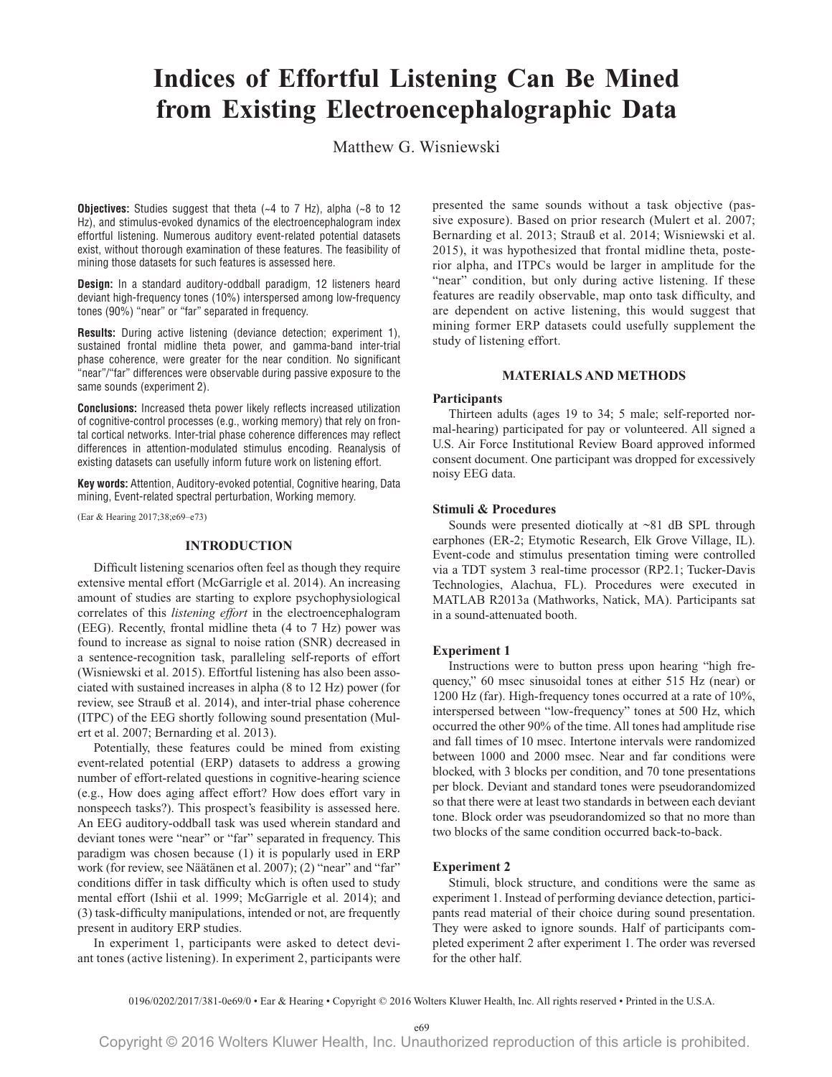# **Indices of Effortful Listening Can Be Mined** from Existing Electroencephalographic Data

Matthew G. Wisniewski

**Objectives:** Studies suggest that theta  $(-4 \text{ to } 7 \text{ Hz})$ , alpha  $(-8 \text{ to } 12 \text{ Hz})$ Hz), and stimulus-evoked dynamics of the electroencephalogram index effortful listening. Numerous auditory event-related potential datasets exist, without thorough examination of these features. The feasibility of mining those datasets for such features is assessed here.

Design: In a standard auditory-oddball paradigm, 12 listeners heard deviant high-frequency tones (10%) interspersed among low-frequency tones (90%) "near" or "far" separated in frequency.

Results: During active listening (deviance detection; experiment 1), sustained frontal midline theta power, and gamma-band inter-trial phase coherence, were greater for the near condition. No significant "near"/"far" differences were observable during passive exposure to the same sounds (experiment 2).

**Conclusions:** Increased theta power likely reflects increased utilization of cognitive-control processes (e.g., working memory) that rely on frontal cortical networks. Inter-trial phase coherence differences may reflect differences in attention-modulated stimulus encoding. Reanalysis of existing datasets can usefully inform future work on listening effort.

Key words: Attention, Auditory-evoked potential, Cognitive hearing, Data mining, Event-related spectral perturbation, Working memory.

(Ear & Hearing 2017;38;e69-e73)

## **INTRODUCTION**

Difficult listening scenarios often feel as though they require extensive mental effort (McGarrigle et al. 2014). An increasing amount of studies are starting to explore psychophysiological correlates of this listening effort in the electroencephalogram (EEG). Recently, frontal midline theta (4 to 7 Hz) power was found to increase as signal to noise ration (SNR) decreased in a sentence-recognition task, paralleling self-reports of effort (Wisniewski et al. 2015). Effortful listening has also been associated with sustained increases in alpha (8 to 12 Hz) power (for review, see Strauß et al. 2014), and inter-trial phase coherence (ITPC) of the EEG shortly following sound presentation (Mulert et al. 2007; Bernarding et al. 2013).

Potentially, these features could be mined from existing event-related potential (ERP) datasets to address a growing number of effort-related questions in cognitive-hearing science (e.g., How does aging affect effort? How does effort vary in nonspeech tasks?). This prospect's feasibility is assessed here. An EEG auditory-oddball task was used wherein standard and deviant tones were "near" or "far" separated in frequency. This paradigm was chosen because (1) it is popularly used in ERP work (for review, see Näätänen et al. 2007); (2) "near" and "far" conditions differ in task difficulty which is often used to study mental effort (Ishii et al. 1999; McGarrigle et al. 2014); and (3) task-difficulty manipulations, intended or not, are frequently present in auditory ERP studies.

In experiment 1, participants were asked to detect deviant tones (active listening). In experiment 2, participants were presented the same sounds without a task objective (passive exposure). Based on prior research (Mulert et al. 2007; Bernarding et al. 2013; Strauß et al. 2014; Wisniewski et al. 2015), it was hypothesized that frontal midline theta, posterior alpha, and ITPCs would be larger in amplitude for the "near" condition, but only during active listening. If these features are readily observable, map onto task difficulty, and are dependent on active listening, this would suggest that mining former ERP datasets could usefully supplement the study of listening effort.

# **MATERIALS AND METHODS**

#### **Participants**

Thirteen adults (ages 19 to 34; 5 male; self-reported normal-hearing) participated for pay or volunteered. All signed a U.S. Air Force Institutional Review Board approved informed consent document. One participant was dropped for excessively noisv EEG data.

## **Stimuli & Procedures**

Sounds were presented diotically at  $\sim 81$  dB SPL through earphones (ER-2; Etymotic Research, Elk Grove Village, IL). Event-code and stimulus presentation timing were controlled via a TDT system 3 real-time processor (RP2.1; Tucker-Davis Technologies, Alachua, FL). Procedures were executed in MATLAB R2013a (Mathworks, Natick, MA). Participants sat in a sound-attenuated booth.

## **Experiment 1**

Instructions were to button press upon hearing "high frequency," 60 msec sinusoidal tones at either 515 Hz (near) or 1200 Hz (far). High-frequency tones occurred at a rate of 10%, interspersed between "low-frequency" tones at 500 Hz, which occurred the other 90% of the time. All tones had amplitude rise and fall times of 10 msec. Intertone intervals were randomized between 1000 and 2000 msec. Near and far conditions were blocked, with 3 blocks per condition, and 70 tone presentations per block. Deviant and standard tones were pseudorandomized so that there were at least two standards in between each deviant tone. Block order was pseudorandomized so that no more than two blocks of the same condition occurred back-to-back.

## **Experiment 2**

Stimuli, block structure, and conditions were the same as experiment 1. Instead of performing deviance detection, participants read material of their choice during sound presentation. They were asked to ignore sounds. Half of participants completed experiment 2 after experiment 1. The order was reversed for the other half.

e69

<sup>0196/0202/2017/381-0</sup>e69/0 • Ear & Hearing • Copyright © 2016 Wolters Kluwer Health, Inc. All rights reserved • Printed in the U.S.A.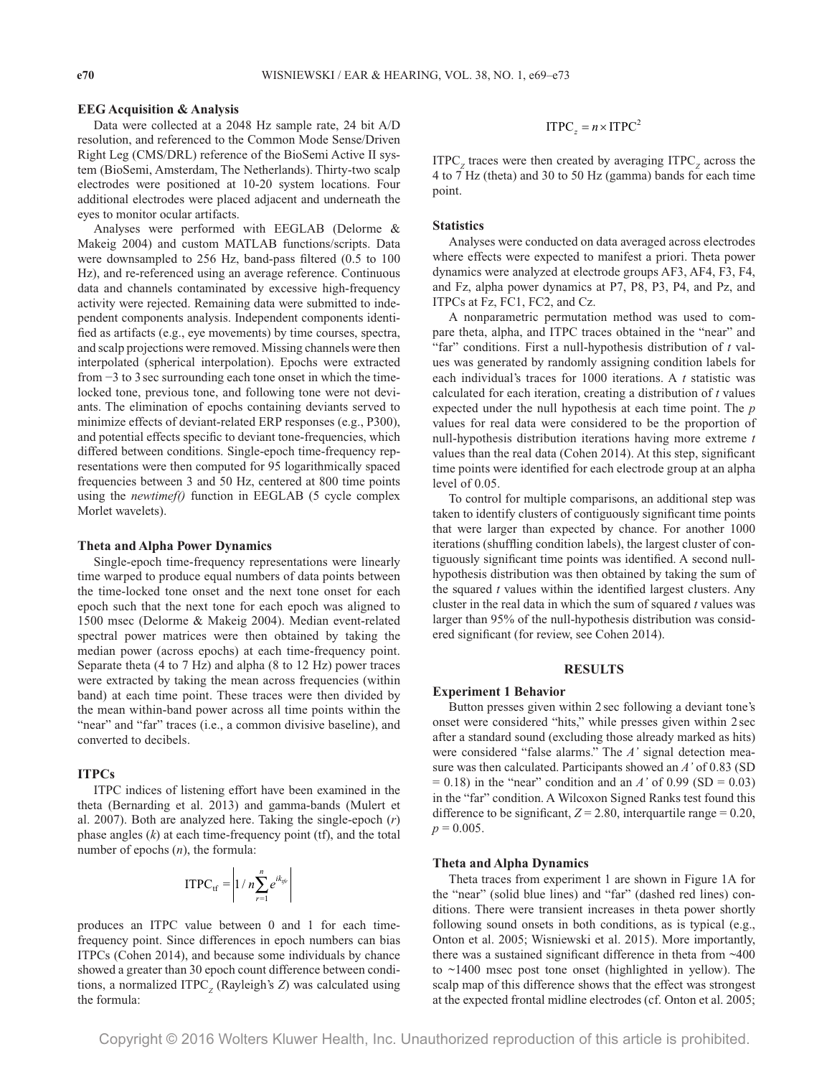## **EEG Acquisition & Analysis**

Data were collected at a 2048 Hz sample rate, 24 bit A/D resolution, and referenced to the Common Mode Sense/Driven Right Leg (CMS/DRL) reference of the BioSemi Active II system (BioSemi, Amsterdam, The Netherlands). Thirty-two scalp electrodes were positioned at 10-20 system locations. Four additional electrodes were placed adjacent and underneath the eyes to monitor ocular artifacts.

Analyses were performed with EEGLAB (Delorme & Makeig 2004) and custom MATLAB functions/scripts. Data were downsampled to 256 Hz, band-pass filtered (0.5 to 100 Hz), and re-referenced using an average reference. Continuous data and channels contaminated by excessive high-frequency activity were rejected. Remaining data were submitted to independent components analysis. Independent components identified as artifacts (e.g., eye movements) by time courses, spectra, and scalp projections were removed. Missing channels were then interpolated (spherical interpolation). Epochs were extracted from  $-3$  to 3 sec surrounding each tone onset in which the timelocked tone, previous tone, and following tone were not deviants. The elimination of epochs containing deviants served to minimize effects of deviant-related ERP responses (e.g., P300), and potential effects specific to deviant tone-frequencies, which differed between conditions. Single-epoch time-frequency representations were then computed for 95 logarithmically spaced frequencies between 3 and 50 Hz, centered at 800 time points using the newtimef() function in EEGLAB (5 cycle complex Morlet wavelets).

## **Theta and Alpha Power Dynamics**

Single-epoch time-frequency representations were linearly time warped to produce equal numbers of data points between the time-locked tone onset and the next tone onset for each epoch such that the next tone for each epoch was aligned to 1500 msec (Delorme & Makeig 2004). Median event-related spectral power matrices were then obtained by taking the median power (across epochs) at each time-frequency point. Separate theta (4 to 7 Hz) and alpha (8 to 12 Hz) power traces were extracted by taking the mean across frequencies (within band) at each time point. These traces were then divided by the mean within-band power across all time points within the "near" and "far" traces (i.e., a common divisive baseline), and converted to decibels.

#### **ITPCs**

ITPC indices of listening effort have been examined in the theta (Bernarding et al. 2013) and gamma-bands (Mulert et al. 2007). Both are analyzed here. Taking the single-epoch  $(r)$ phase angles  $(k)$  at each time-frequency point (tf), and the total number of epochs  $(n)$ , the formula:

$$
\text{ITPC}_{\text{tf}} = \left| 1 / n \sum_{r=1}^{n} e^{ik_{\text{tf}}}
$$

produces an ITPC value between 0 and 1 for each timefrequency point. Since differences in epoch numbers can bias ITPCs (Cohen 2014), and because some individuals by chance showed a greater than 30 epoch count difference between conditions, a normalized ITPC<sub>z</sub> (Rayleigh's Z) was calculated using the formula:

$$
ITPC = n \times ITPC^2
$$

 $ITPC<sub>z</sub>$  traces were then created by averaging  $ITPC<sub>z</sub>$  across the 4 to 7 Hz (theta) and 30 to 50 Hz (gamma) bands for each time point.

#### **Statistics**

Analyses were conducted on data averaged across electrodes where effects were expected to manifest a priori. Theta power dynamics were analyzed at electrode groups AF3, AF4, F3, F4, and Fz, alpha power dynamics at P7, P8, P3, P4, and Pz, and ITPCs at Fz, FC1, FC2, and Cz.

A nonparametric permutation method was used to compare theta, alpha, and ITPC traces obtained in the "near" and "far" conditions. First a null-hypothesis distribution of t values was generated by randomly assigning condition labels for each individual's traces for  $1000$  iterations. A  $t$  statistic was calculated for each iteration, creating a distribution of  $t$  values expected under the null hypothesis at each time point. The  $p$ values for real data were considered to be the proportion of null-hypothesis distribution iterations having more extreme  $t$ values than the real data (Cohen 2014). At this step, significant time points were identified for each electrode group at an alpha level of 0.05.

To control for multiple comparisons, an additional step was taken to identify clusters of contiguously significant time points that were larger than expected by chance. For another 1000 iterations (shuffling condition labels), the largest cluster of contiguously significant time points was identified. A second nullhypothesis distribution was then obtained by taking the sum of the squared  $t$  values within the identified largest clusters. Any cluster in the real data in which the sum of squared  $t$  values was larger than 95% of the null-hypothesis distribution was considered significant (for review, see Cohen 2014).

# **RESULTS**

#### **Experiment 1 Behavior**

Button presses given within 2 sec following a deviant tone's onset were considered "hits," while presses given within 2 sec after a standard sound (excluding those already marked as hits) were considered "false alarms." The A' signal detection measure was then calculated. Participants showed an A' of 0.83 (SD  $= 0.18$ ) in the "near" condition and an A' of 0.99 (SD = 0.03) in the "far" condition. A Wilcoxon Signed Ranks test found this difference to be significant,  $Z = 2.80$ , interquartile range = 0.20,  $p = 0.005$ .

#### **Theta and Alpha Dynamics**

Theta traces from experiment 1 are shown in Figure 1A for the "near" (solid blue lines) and "far" (dashed red lines) conditions. There were transient increases in theta power shortly following sound onsets in both conditions, as is typical (e.g., Onton et al. 2005; Wisniewski et al. 2015). More importantly, there was a sustained significant difference in theta from  $~100$ to  $\sim$ 1400 msec post tone onset (highlighted in yellow). The scalp map of this difference shows that the effect was strongest at the expected frontal midline electrodes (cf. Onton et al. 2005;

Copyright © 2016 Wolters Kluwer Health, Inc. Unauthorized reproduction of this article is prohibited.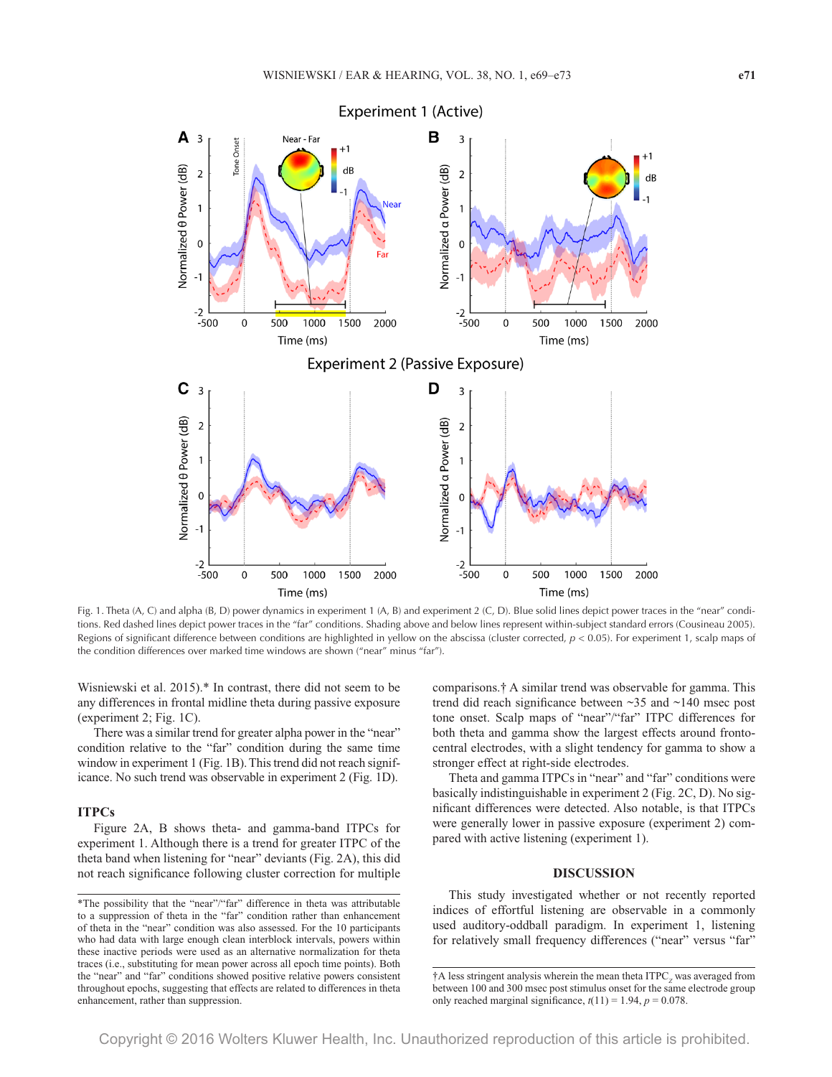

Fig. 1. Theta (A, C) and alpha (B, D) power dynamics in experiment 1 (A, B) and experiment 2 (C, D). Blue solid lines depict power traces in the "near" conditions. Red dashed lines depict power traces in the "far" conditions. Shading above and below lines represent within-subject standard errors (Cousineau 2005). Regions of significant difference between conditions are highlighted in yellow on the abscissa (cluster corrected,  $p < 0.05$ ). For experiment 1, scalp maps of the condition differences over marked time windows are shown ("near" minus "far").

Wisniewski et al. 2015).\* In contrast, there did not seem to be any differences in frontal midline theta during passive exposure (experiment 2; Fig. 1C).

There was a similar trend for greater alpha power in the "near" condition relative to the "far" condition during the same time window in experiment 1 (Fig. 1B). This trend did not reach significance. No such trend was observable in experiment 2 (Fig. 1D).

## **ITPCs**

Figure 2A, B shows theta- and gamma-band ITPCs for experiment 1. Although there is a trend for greater ITPC of the theta band when listening for "near" deviants (Fig. 2A), this did not reach significance following cluster correction for multiple comparisons.<sup>†</sup> A similar trend was observable for gamma. This trend did reach significance between  $\sim$ 35 and  $\sim$ 140 msec post tone onset. Scalp maps of "near"/"far" ITPC differences for both theta and gamma show the largest effects around frontocentral electrodes, with a slight tendency for gamma to show a stronger effect at right-side electrodes.

Theta and gamma ITPCs in "near" and "far" conditions were basically indistinguishable in experiment 2 (Fig. 2C, D). No significant differences were detected. Also notable, is that ITPCs were generally lower in passive exposure (experiment 2) compared with active listening (experiment 1).

# **DISCUSSION**

This study investigated whether or not recently reported indices of effortful listening are observable in a commonly used auditory-oddball paradigm. In experiment 1, listening for relatively small frequency differences ("near" versus "far"

<sup>\*</sup>The possibility that the "near"/"far" difference in theta was attributable to a suppression of theta in the "far" condition rather than enhancement of theta in the "near" condition was also assessed. For the 10 participants who had data with large enough clean interblock intervals, powers within these inactive periods were used as an alternative normalization for theta traces (i.e., substituting for mean power across all epoch time points). Both the "near" and "far" conditions showed positive relative powers consistent throughout epochs, suggesting that effects are related to differences in theta enhancement, rather than suppression.

<sup>†</sup>A less stringent analysis wherein the mean theta ITPC, was averaged from between 100 and 300 msec post stimulus onset for the same electrode group only reached marginal significance,  $t(11) = 1.94$ ,  $p = 0.078$ .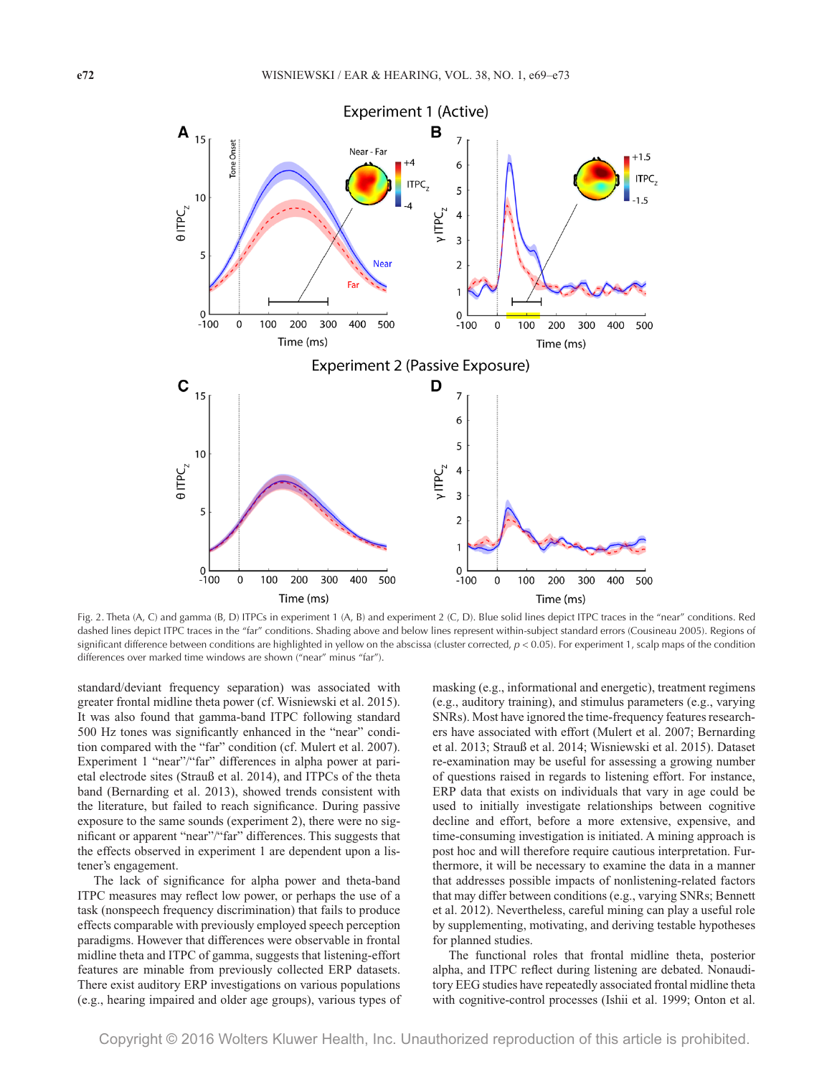

Fig. 2. Theta (A, C) and gamma (B, D) ITPCs in experiment 1 (A, B) and experiment 2 (C, D). Blue solid lines depict ITPC traces in the "near" conditions. Red dashed lines depict ITPC traces in the "far" conditions. Shading above and below lines represent within-subject standard errors (Cousineau 2005). Regions of significant difference between conditions are highlighted in yellow on the abscissa (cluster corrected,  $p < 0.05$ ). For experiment 1, scalp maps of the condition differences over marked time windows are shown ("near" minus "far").

standard/deviant frequency separation) was associated with greater frontal midline theta power (cf. Wisniewski et al. 2015). It was also found that gamma-band ITPC following standard 500 Hz tones was significantly enhanced in the "near" condition compared with the "far" condition (cf. Mulert et al. 2007). Experiment 1 "near"/"far" differences in alpha power at parietal electrode sites (Strauß et al. 2014), and ITPCs of the theta band (Bernarding et al. 2013), showed trends consistent with the literature, but failed to reach significance. During passive exposure to the same sounds (experiment 2), there were no significant or apparent "near"/"far" differences. This suggests that the effects observed in experiment 1 are dependent upon a listener's engagement.

The lack of significance for alpha power and theta-band ITPC measures may reflect low power, or perhaps the use of a task (nonspeech frequency discrimination) that fails to produce effects comparable with previously employed speech perception paradigms. However that differences were observable in frontal midline theta and ITPC of gamma, suggests that listening-effort features are minable from previously collected ERP datasets. There exist auditory ERP investigations on various populations (e.g., hearing impaired and older age groups), various types of masking (e.g., informational and energetic), treatment regimens (e.g., auditory training), and stimulus parameters (e.g., varying SNRs). Most have ignored the time-frequency features researchers have associated with effort (Mulert et al. 2007; Bernarding et al. 2013; Strauß et al. 2014; Wisniewski et al. 2015). Dataset re-examination may be useful for assessing a growing number of questions raised in regards to listening effort. For instance, ERP data that exists on individuals that vary in age could be used to initially investigate relationships between cognitive decline and effort, before a more extensive, expensive, and time-consuming investigation is initiated. A mining approach is post hoc and will therefore require cautious interpretation. Furthermore, it will be necessary to examine the data in a manner that addresses possible impacts of nonlistening-related factors that may differ between conditions (e.g., varying SNRs; Bennett et al. 2012). Nevertheless, careful mining can play a useful role by supplementing, motivating, and deriving testable hypotheses for planned studies.

The functional roles that frontal midline theta, posterior alpha, and ITPC reflect during listening are debated. Nonauditory EEG studies have repeatedly associated frontal midline theta with cognitive-control processes (Ishii et al. 1999; Onton et al.